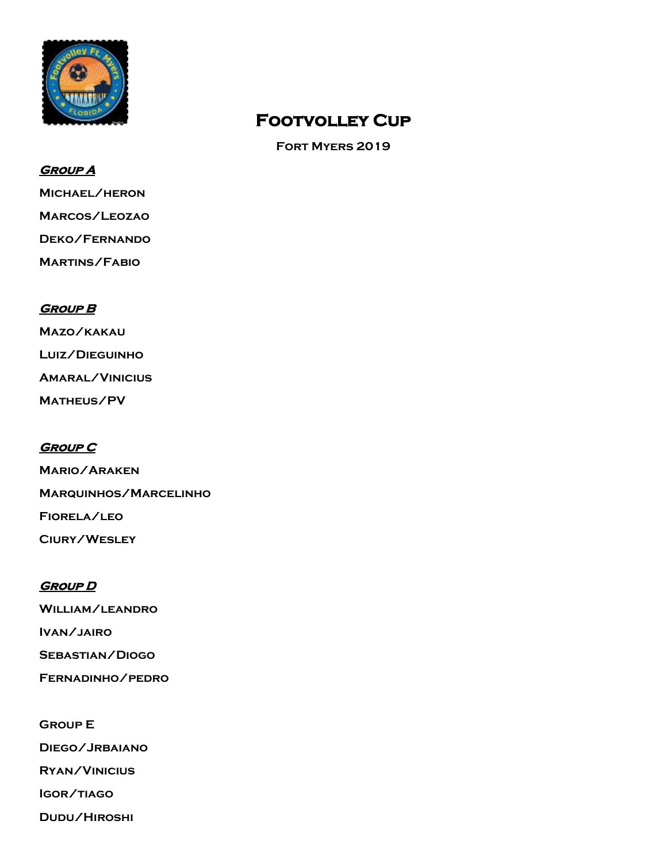

## **Footvolley Cup**

**Fort Myers 2019**

#### **Group A**

**Michael/heron**

**Marcos/Leozao**

**Deko/Fernando** 

**Martins/Fabio**

#### **Group B**

**Mazo/kakau Luiz/Dieguinho Amaral/Vinicius Matheus/PV**

#### **Group C**

**Mario/Araken Marquinhos/Marcelinho Fiorela/leo Ciury/Wesley**

#### **Group D**

**William/leandro Ivan/jairo Sebastian/Diogo Fernadinho/pedro**

**Group E**

**Diego/Jrbaiano**

**Ryan/Vinicius**

**Igor/tiago**

**Dudu/Hiroshi**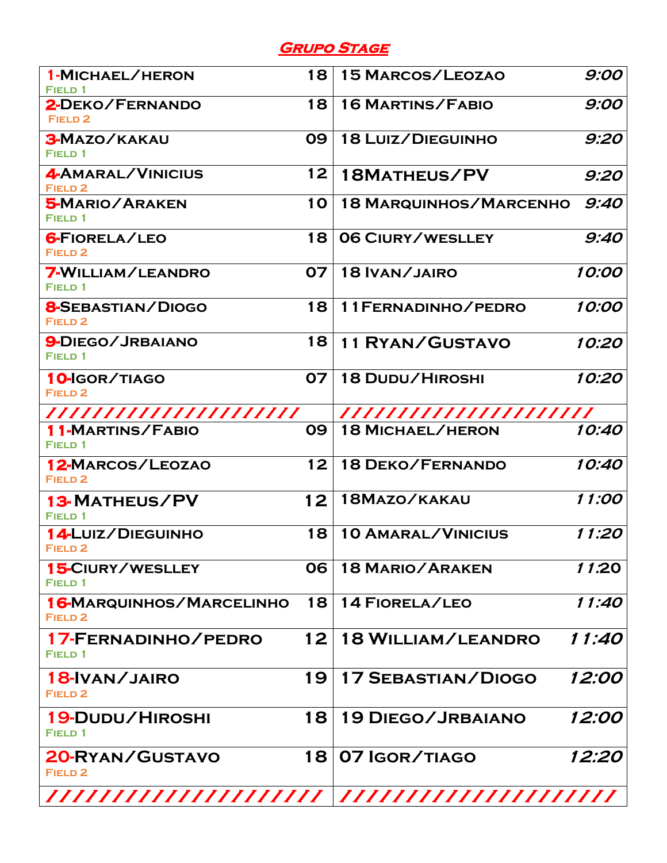### **Grupo Stage**

| 1-MICHAEL/HERON<br>FIELD 1                            | 18 | <b>15 MARCOS/LEOZAO</b>       | 9:00         |
|-------------------------------------------------------|----|-------------------------------|--------------|
| 2-DEKO/FERNANDO<br><b>FIELD 2</b>                     | 18 | <b>16 MARTINS/FABIO</b>       | 9:00         |
| <b>3-MAZO/KAKAU</b><br><b>FIELD 1</b>                 | 09 | 18 LUIZ/DIEGUINHO             | 9:20         |
| 4-AMARAL/VINICIUS<br>FIELD <sub>2</sub>               | 12 | 18MATHEUS/PV                  | 9:20         |
| <b>5-MARIO/ARAKEN</b><br>FIELD 1                      | 10 | <b>18 MARQUINHOS/MARCENHO</b> | 9:40         |
| <b>6-FIORELA/LEO</b><br>FIELD <sub>2</sub>            | 18 | 06 CIURY/WESLLEY              | 9:40         |
| <b>7-WILLIAM/LEANDRO</b><br><b>FIELD 1</b>            | 07 | 18 IVAN/JAIRO                 | 10:00        |
| <b>8-SEBASTIAN/DIOGO</b><br>FIELD <sub>2</sub>        | 18 | 11 FERNADINHO/PEDRO           | 10:00        |
| 9-DIEGO/JRBAIANO<br><b>FIELD 1</b>                    | 18 | <b>11 RYAN/GUSTAVO</b>        | 10:20        |
| 10-IGOR/TIAGO<br><b>FIELD 2</b>                       | 07 | <b>18 DUDU/HIROSHI</b>        | 10:20        |
| ///////////////////////                               |    | ///////////////////////       |              |
| <b>11-MARTINS/FABIO</b><br>FIELD 1                    | 09 | <b>18 MICHAEL/HERON</b>       | 10:40        |
| 12-MARCOS/LEOZAO<br><b>FIELD 2</b>                    | 12 | <b>18 DEKO/FERNANDO</b>       | 10:40        |
| <b>13-MATHEUS/PV</b><br><b>FIELD 1</b>                | 12 | 18MAZO/KAKAU                  | 11:00        |
| <b>14-LUIZ/DIEGUINHO</b><br>FIELD <sub>2</sub>        | 18 | <b>10 AMARAL/VINICIUS</b>     | 11:20        |
| <b>15-CIURY/WESLLEY</b><br>FIELD 1                    | 06 | <b>18 MARIO/ARAKEN</b>        | 11.20        |
| <b>16-MARQUINHOS/MARCELINHO</b><br>FIELD <sub>2</sub> | 18 | 14 FIORELA/LEO                | 11:40        |
| 17-FERNADINHO/PEDRO<br>FIELD 1                        | 12 | <b>18 WILLIAM/LEANDRO</b>     | 11:40        |
| 18-IVAN/JAIRO<br>FIELD <sub>2</sub>                   | 19 | <b>17 SEBASTIAN/DIOGO</b>     | <i>12:00</i> |
| 19-DUDU/HIROSHI<br>FIELD 1                            | 18 | <b>19 DIEGO/JRBAIANO</b>      | <i>12:00</i> |
| 20-RYAN/GUSTAVO<br><b>FIELD 2</b>                     | 18 | 07 IGOR/TIAGO                 | 12:20        |
| ///////////////////                                   |    | /////////////////////         |              |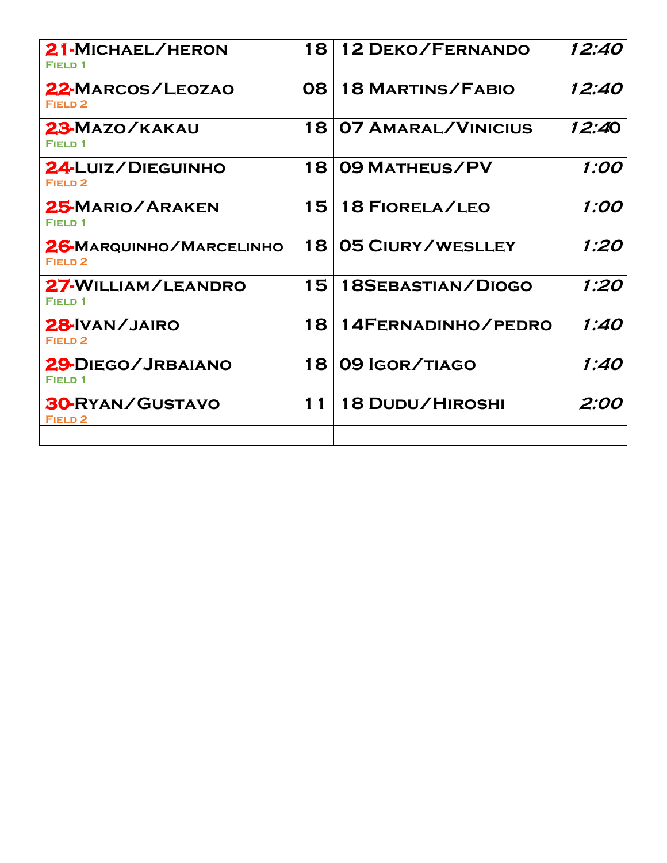| 21-MICHAEL/HERON<br><b>FIELD 1</b>            | 18 | <b>12 DEKO/FERNANDO</b>   | 12:40         |
|-----------------------------------------------|----|---------------------------|---------------|
| 22-MARCOS/LEOZAO<br>FIELD <sub>2</sub>        | 80 | <b>18 MARTINS/FABIO</b>   | 12:40         |
| 23-MAZO/KAKAU<br><b>FIELD 1</b>               | 18 | <b>07 AMARAL/VINICIUS</b> | <i>12:4</i> 0 |
| 24-LUIZ/DIEGUINHO<br>FIELD <sub>2</sub>       | 18 | <b>09 MATHEUS/PV</b>      | 1:00          |
| 25-MARIO/ARAKEN<br><b>FIELD 1</b>             | 15 | <b>18 FIORELA/LEO</b>     | 1:00          |
| 26-MARQUINHO/MARCELINHO<br>FIELD <sub>2</sub> | 18 | 05 CIURY/WESLLEY          | 1:20          |
| 27-WILLIAM/LEANDRO<br><b>FIELD 1</b>          | 15 | 18SEBASTIAN/DIOGO         | 1:20          |
| 28-IVAN/JAIRO<br>FIELD <sub>2</sub>           | 18 | 14FERNADINHO/PEDRO        | 1:40          |
| 29-DIEGO/JRBAIANO<br><b>FIELD 1</b>           | 18 | 09 IGOR/TIAGO             | 1:40          |
| <b>30-RYAN/GUSTAVO</b><br>FIELD <sub>2</sub>  | 11 | <b>18 DUDU/HIROSHI</b>    | 2:00          |
|                                               |    |                           |               |